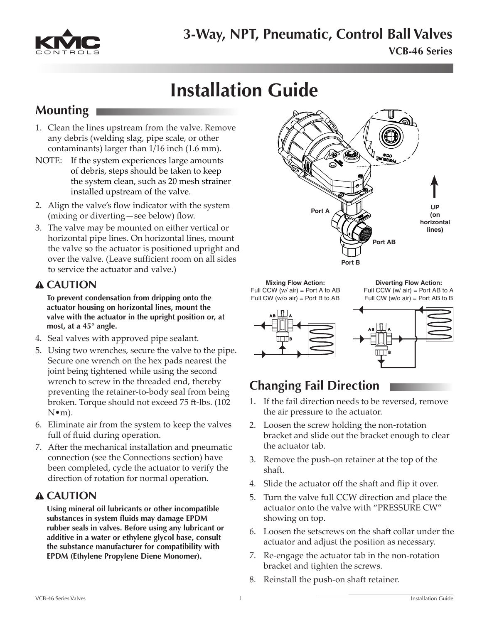

# **Installation Guide**

## **Mounting**

- 1. Clean the lines upstream from the valve. Remove any debris (welding slag, pipe scale, or other contaminants) larger than 1/16 inch (1.6 mm).
- NOTE: If the system experiences large amounts of debris, steps should be taken to keep the system clean, such as 20 mesh strainer installed upstream of the valve.
- 2. Align the valve's flow indicator with the system (mixing or diverting—see below) flow.
- 3. The valve may be mounted on either vertical or horizontal pipe lines. On horizontal lines, mount the valve so the actuator is positioned upright and over the valve. (Leave sufficient room on all sides to service the actuator and valve.)

#### **CAUTION**

**To prevent condensation from dripping onto the actuator housing on horizontal lines, mount the valve with the actuator in the upright position or, at most, at a 45° angle.**

- 4. Seal valves with approved pipe sealant.
- 5. Using two wrenches, secure the valve to the pipe. Secure one wrench on the hex pads nearest the joint being tightened while using the second wrench to screw in the threaded end, thereby preventing the retainer-to-body seal from being broken. Torque should not exceed 75 ft-lbs. (102  $N \cdot m$ ).
- 6. Eliminate air from the system to keep the valves full of fluid during operation.
- 7. After the mechanical installation and pneumatic connection (see the Connections section) have been completed, cycle the actuator to verify the direction of rotation for normal operation.

#### **CAUTION**

**Using mineral oil lubricants or other incompatible substances in system fluids may damage EPDM rubber seals in valves. Before using any lubricant or additive in a water or ethylene glycol base, consult the substance manufacturer for compatibility with EPDM (Ethylene Propylene Diene Monomer).**



**Mixing Flow Action:** Full CCW (w/ air) = Port A to AB Full CW  $(w/o\ air)$  = Port B to AB

**Diverting Flow Action:** Full CCW ( $w$ / $air$ ) = Port AB to A Full CW (w/o air) = Port AB to B



## **Changing Fail Direction**

- 1. If the fail direction needs to be reversed, remove the air pressure to the actuator.
- 2. Loosen the screw holding the non-rotation bracket and slide out the bracket enough to clear the actuator tab.
- 3. Remove the push-on retainer at the top of the shaft.
- 4. Slide the actuator off the shaft and flip it over.
- 5. Turn the valve full CCW direction and place the actuator onto the valve with "PRESSURE CW" showing on top.
- 6. Loosen the setscrews on the shaft collar under the actuator and adjust the position as necessary.
- 7. Re-engage the actuator tab in the non-rotation bracket and tighten the screws.
- 8. Reinstall the push-on shaft retainer.